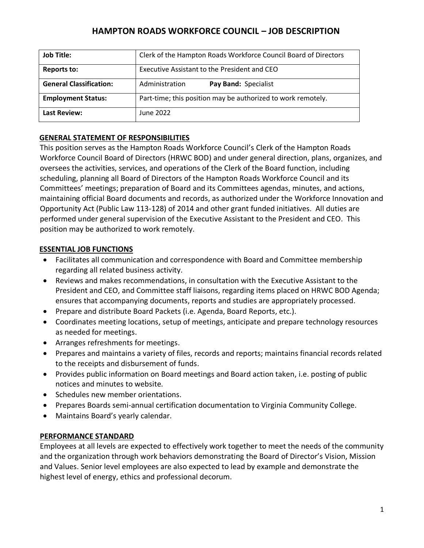# **HAMPTON ROADS WORKFORCE COUNCIL – JOB DESCRIPTION**

| <b>Job Title:</b>              | Clerk of the Hampton Roads Workforce Council Board of Directors |
|--------------------------------|-----------------------------------------------------------------|
| <b>Reports to:</b>             | Executive Assistant to the President and CEO                    |
| <b>General Classification:</b> | Pay Band: Specialist<br>Administration                          |
| <b>Employment Status:</b>      | Part-time; this position may be authorized to work remotely.    |
| <b>Last Review:</b>            | June 2022                                                       |

## **GENERAL STATEMENT OF RESPONSIBILITIES**

This position serves as the Hampton Roads Workforce Council's Clerk of the Hampton Roads Workforce Council Board of Directors (HRWC BOD) and under general direction, plans, organizes, and oversees the activities, services, and operations of the Clerk of the Board function, including scheduling, planning all Board of Directors of the Hampton Roads Workforce Council and its Committees' meetings; preparation of Board and its Committees agendas, minutes, and actions, maintaining official Board documents and records, as authorized under the Workforce Innovation and Opportunity Act (Public Law 113-128) of 2014 and other grant funded initiatives. All duties are performed under general supervision of the Executive Assistant to the President and CEO. This position may be authorized to work remotely.

## **ESSENTIAL JOB FUNCTIONS**

- Facilitates all communication and correspondence with Board and Committee membership regarding all related business activity.
- Reviews and makes recommendations, in consultation with the Executive Assistant to the President and CEO, and Committee staff liaisons, regarding items placed on HRWC BOD Agenda; ensures that accompanying documents, reports and studies are appropriately processed.
- Prepare and distribute Board Packets (i.e. Agenda, Board Reports, etc.).
- Coordinates meeting locations, setup of meetings, anticipate and prepare technology resources as needed for meetings.
- Arranges refreshments for meetings.
- Prepares and maintains a variety of files, records and reports; maintains financial records related to the receipts and disbursement of funds.
- Provides public information on Board meetings and Board action taken, i.e. posting of public notices and minutes to website.
- Schedules new member orientations.
- Prepares Boards semi-annual certification documentation to Virginia Community College.
- Maintains Board's yearly calendar.

## **PERFORMANCE STANDARD**

Employees at all levels are expected to effectively work together to meet the needs of the community and the organization through work behaviors demonstrating the Board of Director's Vision, Mission and Values. Senior level employees are also expected to lead by example and demonstrate the highest level of energy, ethics and professional decorum.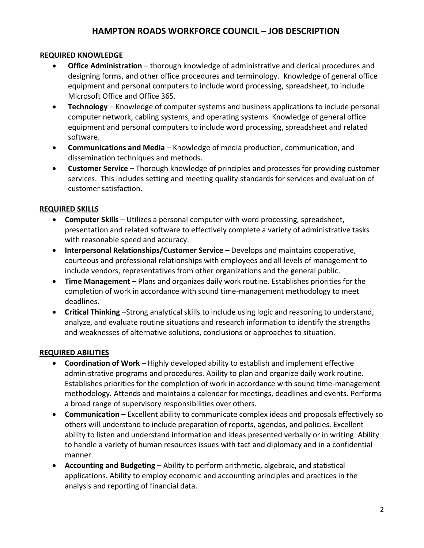## **HAMPTON ROADS WORKFORCE COUNCIL – JOB DESCRIPTION**

#### **REQUIRED KNOWLEDGE**

- **Office Administration** thorough knowledge of administrative and clerical procedures and designing forms, and other office procedures and terminology. Knowledge of general office equipment and personal computers to include word processing, spreadsheet, to include Microsoft Office and Office 365.
- **Technology** Knowledge of computer systems and business applications to include personal computer network, cabling systems, and operating systems. Knowledge of general office equipment and personal computers to include word processing, spreadsheet and related software.
- **Communications and Media**  Knowledge of media production, communication, and dissemination techniques and methods.
- **Customer Service** Thorough knowledge of principles and processes for providing customer services. This includes setting and meeting quality standards for services and evaluation of customer satisfaction.

#### **REQUIRED SKILLS**

- **Computer Skills** Utilizes a personal computer with word processing, spreadsheet, presentation and related software to effectively complete a variety of administrative tasks with reasonable speed and accuracy.
- **Interpersonal Relationships/Customer Service** Develops and maintains cooperative, courteous and professional relationships with employees and all levels of management to include vendors, representatives from other organizations and the general public.
- **Time Management** Plans and organizes daily work routine. Establishes priorities for the completion of work in accordance with sound time-management methodology to meet deadlines.
- **Critical Thinking** –Strong analytical skills to include using logic and reasoning to understand, analyze, and evaluate routine situations and research information to identify the strengths and weaknesses of alternative solutions, conclusions or approaches to situation.

## **REQUIRED ABILITIES**

- **Coordination of Work** Highly developed ability to establish and implement effective administrative programs and procedures. Ability to plan and organize daily work routine. Establishes priorities for the completion of work in accordance with sound time-management methodology. Attends and maintains a calendar for meetings, deadlines and events. Performs a broad range of supervisory responsibilities over others.
- **Communication**  Excellent ability to communicate complex ideas and proposals effectively so others will understand to include preparation of reports, agendas, and policies. Excellent ability to listen and understand information and ideas presented verbally or in writing. Ability to handle a variety of human resources issues with tact and diplomacy and in a confidential manner.
- **Accounting and Budgeting** Ability to perform arithmetic, algebraic, and statistical applications. Ability to employ economic and accounting principles and practices in the analysis and reporting of financial data.